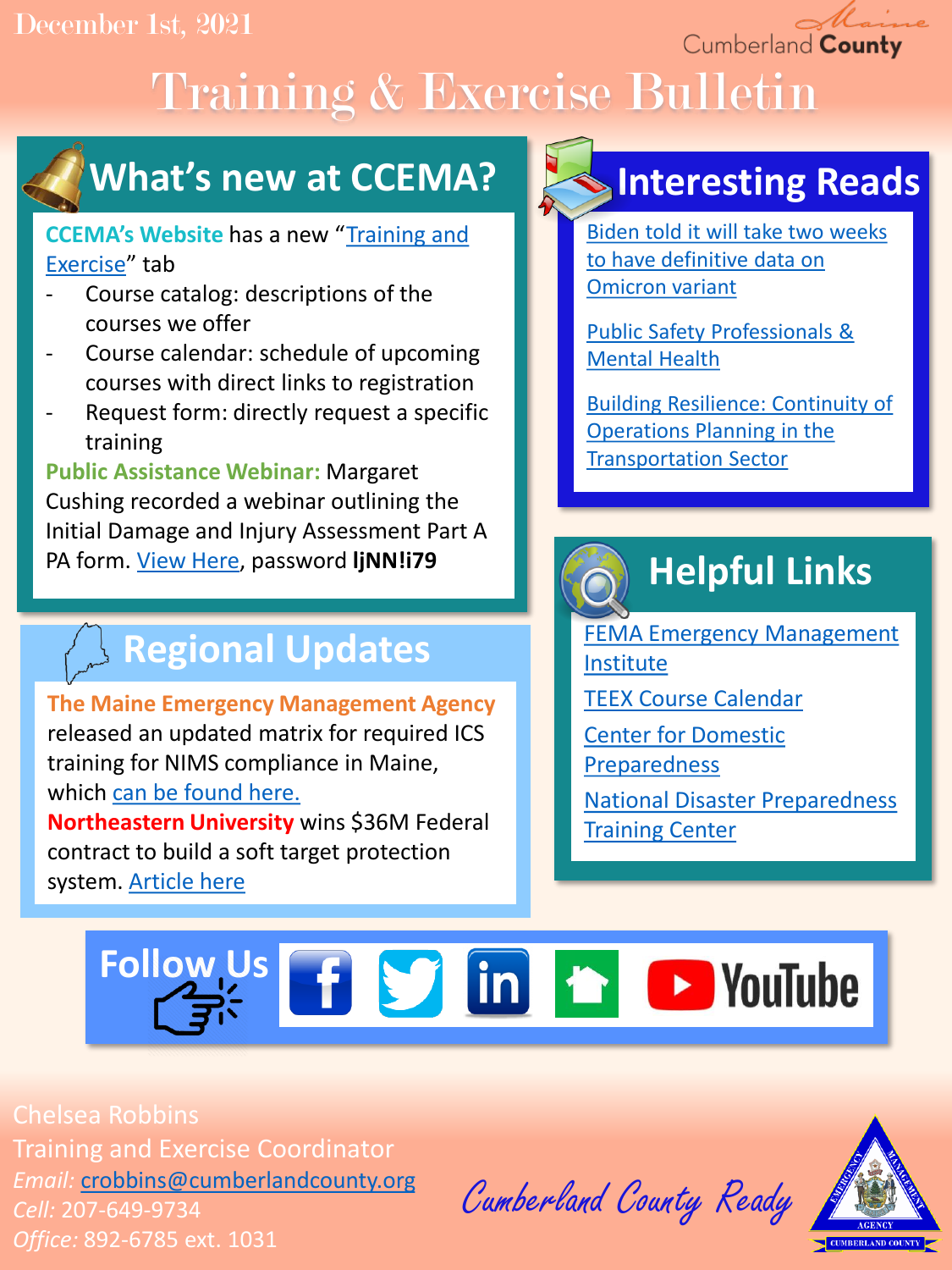### December 1st, 2021

Cumberland County

# Training & Exercise Bulletin



### **What's new at CCEMA?**

### **CCEMA's Website** has a new "[Training and](https://www.cumberlandcounty.org/766/Training-and-Exercise) Exercise" tab

- Course catalog: descriptions of the courses we offer
- Course calendar: schedule of upcoming courses with direct links to registration
- Request form: directly request a specific training

**Public Assistance Webinar:** Margaret Cushing recorded a webinar outlining the Initial Damage and Injury Assessment Part A PA form. [View Here,](https://us02web.zoom.us/rec/play/IJ0Do9Q7kDbB1tt4HCdS9vggSr9GIDupaYGfPepJPJluVz9JVk2kPUgxGuGNUcD9p2L_S8AewZm6N01x.KBCJsrbHhJj-Am8C?continueMode=true) password **ljNN!i79**

### **Regional Updates**

**The Maine Emergency Management Agency**  released an updated matrix for required ICS training for NIMS compliance in Maine, which [can be found here.](https://drive.google.com/file/d/1AYc7Q1jwWcCcTKZ-xIFjtW3hE5o7mRQG/view?usp=sharing) **Northeastern University** wins \$36M Federal contract to build a soft target protection system. [Article here](https://news.northeastern.edu/2021/11/04/northeastern-wins-contract-for-soft-target-protection-system/)

### **Interesting Reads**

[Biden told it will take two weeks](https://www.reuters.com/world/us/us-braces-omicron-prepares-african-country-travel-ban-2021-11-28/)  to have definitive data on Omicron variant

[Public Safety Professionals &](https://www.nami.org/Your-Journey/Frontline-Professionals/Public-Safety-Professionals)  Mental Health

[Building Resilience: Continuity of](https://hagertyconsulting.com/about-us/blog/building-resilience-continuity-of-operations-planning-in-the-transportation-sector/)  Operations Planning in the Transportation Sector

## **Helpful Links**

[FEMA Emergency Management](https://training.fema.gov/is/) Institute

[TEEX Course Calendar](https://teex.org/course-calendar/)

[Center for Domestic](https://cdp.dhs.gov/)  Preparedness

[National Disaster Preparedness](https://ndptc.hawaii.edu/training/)  **Training Center** 

# **Follow Us f S** in **h D** YouTube

Chelsea Robbins Training and Exercise Coordinator *Email:* [crobbins@cumberlandcounty.org](mailto:crobbins@cumberlandcounty.org) *Cell:* 207-649-9734 *Office:* 892-6785 ext. 1031

Cumberland County Ready